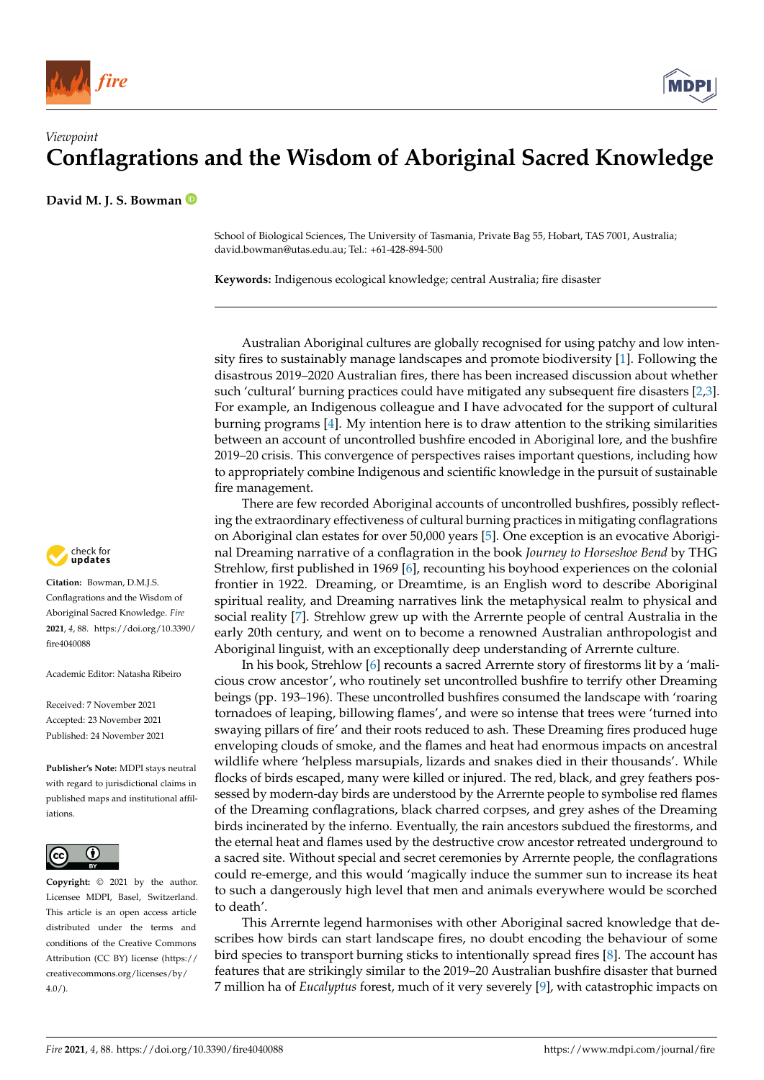



**David M. J. S. Bowman**

School of Biological Sciences, The University of Tasmania, Private Bag 55, Hobart, TAS 7001, Australia; david.bowman@utas.edu.au; Tel.: +61-428-894-500

**Keywords:** Indigenous ecological knowledge; central Australia; fire disaster

Australian Aboriginal cultures are globally recognised for using patchy and low intensity fires to sustainably manage landscapes and promote biodiversity [\[1\]](#page-1-0). Following the disastrous 2019–2020 Australian fires, there has been increased discussion about whether such 'cultural' burning practices could have mitigated any subsequent fire disasters [\[2](#page-1-1)[,3\]](#page-1-2). For example, an Indigenous colleague and I have advocated for the support of cultural burning programs [\[4\]](#page-1-3). My intention here is to draw attention to the striking similarities between an account of uncontrolled bushfire encoded in Aboriginal lore, and the bushfire 2019–20 crisis. This convergence of perspectives raises important questions, including how to appropriately combine Indigenous and scientific knowledge in the pursuit of sustainable fire management.

There are few recorded Aboriginal accounts of uncontrolled bushfires, possibly reflecting the extraordinary effectiveness of cultural burning practices in mitigating conflagrations on Aboriginal clan estates for over 50,000 years [\[5\]](#page-1-4). One exception is an evocative Aboriginal Dreaming narrative of a conflagration in the book *Journey to Horseshoe Bend* by THG Strehlow, first published in 1969 [\[6\]](#page-1-5), recounting his boyhood experiences on the colonial frontier in 1922. Dreaming, or Dreamtime, is an English word to describe Aboriginal spiritual reality, and Dreaming narratives link the metaphysical realm to physical and social reality [\[7\]](#page-1-6). Strehlow grew up with the Arrernte people of central Australia in the early 20th century, and went on to become a renowned Australian anthropologist and Aboriginal linguist, with an exceptionally deep understanding of Arrernte culture.

In his book, Strehlow [\[6\]](#page-1-5) recounts a sacred Arrernte story of firestorms lit by a 'malicious crow ancestor', who routinely set uncontrolled bushfire to terrify other Dreaming beings (pp. 193–196). These uncontrolled bushfires consumed the landscape with 'roaring tornadoes of leaping, billowing flames', and were so intense that trees were 'turned into swaying pillars of fire' and their roots reduced to ash. These Dreaming fires produced huge enveloping clouds of smoke, and the flames and heat had enormous impacts on ancestral wildlife where 'helpless marsupials, lizards and snakes died in their thousands'. While flocks of birds escaped, many were killed or injured. The red, black, and grey feathers possessed by modern-day birds are understood by the Arrernte people to symbolise red flames of the Dreaming conflagrations, black charred corpses, and grey ashes of the Dreaming birds incinerated by the inferno. Eventually, the rain ancestors subdued the firestorms, and the eternal heat and flames used by the destructive crow ancestor retreated underground to a sacred site. Without special and secret ceremonies by Arrernte people, the conflagrations could re-emerge, and this would 'magically induce the summer sun to increase its heat to such a dangerously high level that men and animals everywhere would be scorched to death'.

This Arrernte legend harmonises with other Aboriginal sacred knowledge that describes how birds can start landscape fires, no doubt encoding the behaviour of some bird species to transport burning sticks to intentionally spread fires [\[8\]](#page-1-7). The account has features that are strikingly similar to the 2019–20 Australian bushfire disaster that burned 7 million ha of *Eucalyptus* forest, much of it very severely [\[9\]](#page-1-8), with catastrophic impacts on



**Citation:** Bowman, D.M.J.S. Conflagrations and the Wisdom of Aboriginal Sacred Knowledge. *Fire* **2021**, *4*, 88. [https://doi.org/10.3390/](https://doi.org/10.3390/fire4040088) [fire4040088](https://doi.org/10.3390/fire4040088)

Academic Editor: Natasha Ribeiro

Received: 7 November 2021 Accepted: 23 November 2021 Published: 24 November 2021

**Publisher's Note:** MDPI stays neutral with regard to jurisdictional claims in published maps and institutional affiliations.



**Copyright:** © 2021 by the author. Licensee MDPI, Basel, Switzerland. This article is an open access article distributed under the terms and conditions of the Creative Commons Attribution (CC BY) license (https:/[/](https://creativecommons.org/licenses/by/4.0/) [creativecommons.org/licenses/by/](https://creativecommons.org/licenses/by/4.0/)  $4.0/$ ).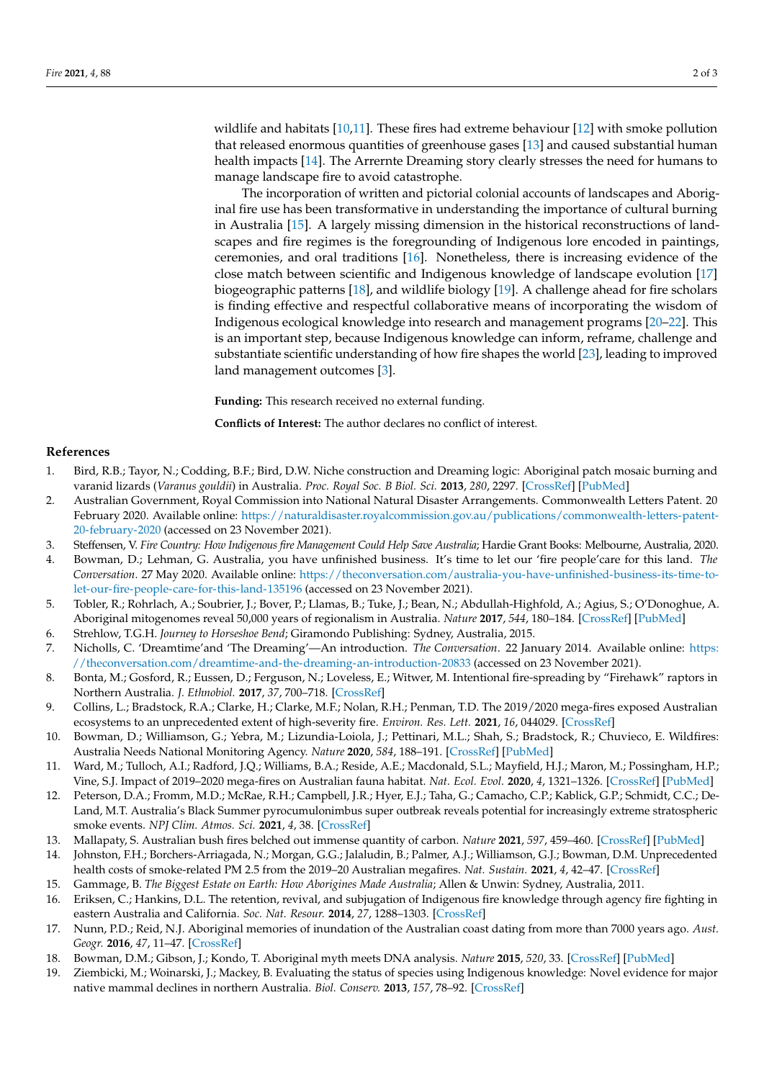wildlife and habitats [\[10,](#page-1-9)[11\]](#page-1-10). These fires had extreme behaviour [\[12\]](#page-1-11) with smoke pollution that released enormous quantities of greenhouse gases [\[13\]](#page-1-12) and caused substantial human health impacts [\[14\]](#page-1-13). The Arrernte Dreaming story clearly stresses the need for humans to manage landscape fire to avoid catastrophe.

The incorporation of written and pictorial colonial accounts of landscapes and Aboriginal fire use has been transformative in understanding the importance of cultural burning in Australia [\[15\]](#page-1-14). A largely missing dimension in the historical reconstructions of landscapes and fire regimes is the foregrounding of Indigenous lore encoded in paintings, ceremonies, and oral traditions [\[16\]](#page-1-15). Nonetheless, there is increasing evidence of the close match between scientific and Indigenous knowledge of landscape evolution [\[17\]](#page-1-16) biogeographic patterns [\[18\]](#page-1-17), and wildlife biology [\[19\]](#page-1-18). A challenge ahead for fire scholars is finding effective and respectful collaborative means of incorporating the wisdom of Indigenous ecological knowledge into research and management programs [\[20](#page-2-0)[–22\]](#page-2-1). This is an important step, because Indigenous knowledge can inform, reframe, challenge and substantiate scientific understanding of how fire shapes the world [\[23\]](#page-2-2), leading to improved land management outcomes [\[3\]](#page-1-2).

**Funding:** This research received no external funding.

**Conflicts of Interest:** The author declares no conflict of interest.

## **References**

- <span id="page-1-0"></span>1. Bird, R.B.; Tayor, N.; Codding, B.F.; Bird, D.W. Niche construction and Dreaming logic: Aboriginal patch mosaic burning and varanid lizards (*Varanus gouldii*) in Australia. *Proc. Royal Soc. B Biol. Sci.* **2013**, *280*, 2297. [\[CrossRef\]](http://doi.org/10.1098/rspb.2013.2297) [\[PubMed\]](http://www.ncbi.nlm.nih.gov/pubmed/24266036)
- <span id="page-1-1"></span>2. Australian Government, Royal Commission into National Natural Disaster Arrangements. Commonwealth Letters Patent. 20 February 2020. Available online: [https://naturaldisaster.royalcommission.gov.au/publications/commonwealth-letters-patent-](https://naturaldisaster.royalcommission.gov.au/publications/commonwealth-letters-patent-20-february-2020)[20-february-2020](https://naturaldisaster.royalcommission.gov.au/publications/commonwealth-letters-patent-20-february-2020) (accessed on 23 November 2021).
- <span id="page-1-2"></span>3. Steffensen, V. *Fire Country: How Indigenous fire Management Could Help Save Australia*; Hardie Grant Books: Melbourne, Australia, 2020.
- <span id="page-1-3"></span>4. Bowman, D.; Lehman, G. Australia, you have unfinished business. It's time to let our 'fire people'care for this land. *The Conversation*. 27 May 2020. Available online: [https://theconversation.com/australia-you-have-unfinished-business-its-time-to](https://theconversation.com/australia-you-have-unfinished-business-its-time-to-let-our-fire-people-care-for-this-land-135196)[let-our-fire-people-care-for-this-land-135196](https://theconversation.com/australia-you-have-unfinished-business-its-time-to-let-our-fire-people-care-for-this-land-135196) (accessed on 23 November 2021).
- <span id="page-1-4"></span>5. Tobler, R.; Rohrlach, A.; Soubrier, J.; Bover, P.; Llamas, B.; Tuke, J.; Bean, N.; Abdullah-Highfold, A.; Agius, S.; O'Donoghue, A. Aboriginal mitogenomes reveal 50,000 years of regionalism in Australia. *Nature* **2017**, *544*, 180–184. [\[CrossRef\]](http://doi.org/10.1038/nature21416) [\[PubMed\]](http://www.ncbi.nlm.nih.gov/pubmed/28273067)
- <span id="page-1-5"></span>6. Strehlow, T.G.H. *Journey to Horseshoe Bend*; Giramondo Publishing: Sydney, Australia, 2015.
- <span id="page-1-6"></span>7. Nicholls, C. 'Dreamtime'and 'The Dreaming'—An introduction. *The Conversation*. 22 January 2014. Available online: [https:](https://theconversation.com/dreamtime-and-the-dreaming-an-introduction-20833) [//theconversation.com/dreamtime-and-the-dreaming-an-introduction-20833](https://theconversation.com/dreamtime-and-the-dreaming-an-introduction-20833) (accessed on 23 November 2021).
- <span id="page-1-7"></span>8. Bonta, M.; Gosford, R.; Eussen, D.; Ferguson, N.; Loveless, E.; Witwer, M. Intentional fire-spreading by "Firehawk" raptors in Northern Australia. *J. Ethnobiol.* **2017**, *37*, 700–718. [\[CrossRef\]](http://doi.org/10.2993/0278-0771-37.4.700)
- <span id="page-1-8"></span>9. Collins, L.; Bradstock, R.A.; Clarke, H.; Clarke, M.F.; Nolan, R.H.; Penman, T.D. The 2019/2020 mega-fires exposed Australian ecosystems to an unprecedented extent of high-severity fire. *Environ. Res. Lett.* **2021**, *16*, 044029. [\[CrossRef\]](http://doi.org/10.1088/1748-9326/abeb9e)
- <span id="page-1-9"></span>10. Bowman, D.; Williamson, G.; Yebra, M.; Lizundia-Loiola, J.; Pettinari, M.L.; Shah, S.; Bradstock, R.; Chuvieco, E. Wildfires: Australia Needs National Monitoring Agency. *Nature* **2020**, *584*, 188–191. [\[CrossRef\]](http://doi.org/10.1038/d41586-020-02306-4) [\[PubMed\]](http://www.ncbi.nlm.nih.gov/pubmed/32788729)
- <span id="page-1-10"></span>11. Ward, M.; Tulloch, A.I.; Radford, J.Q.; Williams, B.A.; Reside, A.E.; Macdonald, S.L.; Mayfield, H.J.; Maron, M.; Possingham, H.P.; Vine, S.J. Impact of 2019–2020 mega-fires on Australian fauna habitat. *Nat. Ecol. Evol.* **2020**, *4*, 1321–1326. [\[CrossRef\]](http://doi.org/10.1038/s41559-020-1251-1) [\[PubMed\]](http://www.ncbi.nlm.nih.gov/pubmed/32690905)
- <span id="page-1-11"></span>12. Peterson, D.A.; Fromm, M.D.; McRae, R.H.; Campbell, J.R.; Hyer, E.J.; Taha, G.; Camacho, C.P.; Kablick, G.P.; Schmidt, C.C.; De-Land, M.T. Australia's Black Summer pyrocumulonimbus super outbreak reveals potential for increasingly extreme stratospheric smoke events. *NPJ Clim. Atmos. Sci.* **2021**, *4*, 38. [\[CrossRef\]](http://doi.org/10.1038/s41612-021-00192-9)
- <span id="page-1-12"></span>13. Mallapaty, S. Australian bush fires belched out immense quantity of carbon. *Nature* **2021**, *597*, 459–460. [\[CrossRef\]](http://doi.org/10.1038/d41586-021-02509-3) [\[PubMed\]](http://www.ncbi.nlm.nih.gov/pubmed/34526688)
- <span id="page-1-13"></span>14. Johnston, F.H.; Borchers-Arriagada, N.; Morgan, G.G.; Jalaludin, B.; Palmer, A.J.; Williamson, G.J.; Bowman, D.M. Unprecedented health costs of smoke-related PM 2.5 from the 2019–20 Australian megafires. *Nat. Sustain.* **2021**, *4*, 42–47. [\[CrossRef\]](http://doi.org/10.1038/s41893-020-00610-5)
- <span id="page-1-14"></span>15. Gammage, B. *The Biggest Estate on Earth: How Aborigines Made Australia*; Allen & Unwin: Sydney, Australia, 2011.
- <span id="page-1-15"></span>16. Eriksen, C.; Hankins, D.L. The retention, revival, and subjugation of Indigenous fire knowledge through agency fire fighting in eastern Australia and California. *Soc. Nat. Resour.* **2014**, *27*, 1288–1303. [\[CrossRef\]](http://doi.org/10.1080/08941920.2014.918226)
- <span id="page-1-16"></span>17. Nunn, P.D.; Reid, N.J. Aboriginal memories of inundation of the Australian coast dating from more than 7000 years ago. *Aust. Geogr.* **2016**, *47*, 11–47. [\[CrossRef\]](http://doi.org/10.1080/00049182.2015.1077539)
- <span id="page-1-17"></span>18. Bowman, D.M.; Gibson, J.; Kondo, T. Aboriginal myth meets DNA analysis. *Nature* **2015**, *520*, 33. [\[CrossRef\]](http://doi.org/10.1038/520033a) [\[PubMed\]](http://www.ncbi.nlm.nih.gov/pubmed/25832394)
- <span id="page-1-18"></span>19. Ziembicki, M.; Woinarski, J.; Mackey, B. Evaluating the status of species using Indigenous knowledge: Novel evidence for major native mammal declines in northern Australia. *Biol. Conserv.* **2013**, *157*, 78–92. [\[CrossRef\]](http://doi.org/10.1016/j.biocon.2012.07.004)